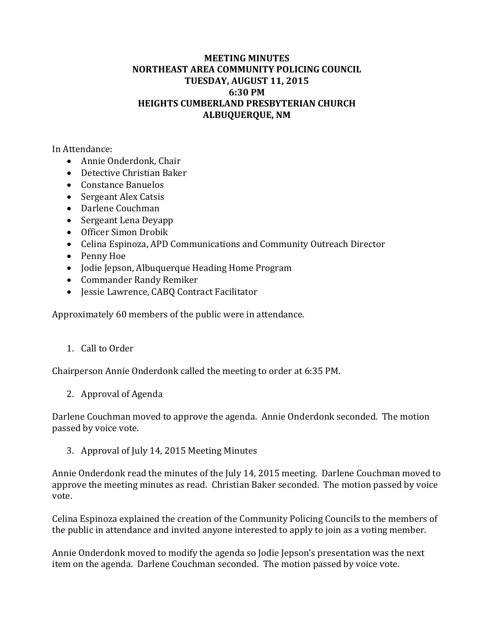## **MEETING MINUTES NORTHEAST AREA COMMUNITY POLICING COUNCIL TUESDAY, AUGUST 11, 2015 6:30 PM HEIGHTS CUMBERLAND PRESBYTERIAN CHURCH ALBUQUERQUE, NM**

In Attendance:

- Annie Onderdonk, Chair
- Detective Christian Baker
- Constance Banuelos
- Sergeant Alex Catsis
- Darlene Couchman
- Sergeant Lena Deyapp
- Officer Simon Drobik
- Celina Espinoza, APD Communications and Community Outreach Director
- Penny Hoe
- Jodie Jepson, Albuquerque Heading Home Program
- Commander Randy Remiker
- Jessie Lawrence, CABO Contract Facilitator

Approximately 60 members of the public were in attendance.

1. Call to Order

Chairperson Annie Onderdonk called the meeting to order at 6:35 PM.

2. Approval of Agenda

Darlene Couchman moved to approve the agenda. Annie Onderdonk seconded. The motion passed by voice vote.

3. Approval of July 14, 2015 Meeting Minutes

Annie Onderdonk read the minutes of the July 14, 2015 meeting. Darlene Couchman moved to approve the meeting minutes as read. Christian Baker seconded. The motion passed by voice vote. 

Celina Espinoza explained the creation of the Community Policing Councils to the members of the public in attendance and invited anyone interested to apply to join as a voting member.

Annie Onderdonk moved to modify the agenda so Jodie Jepson's presentation was the next item on the agenda. Darlene Couchman seconded. The motion passed by voice vote.